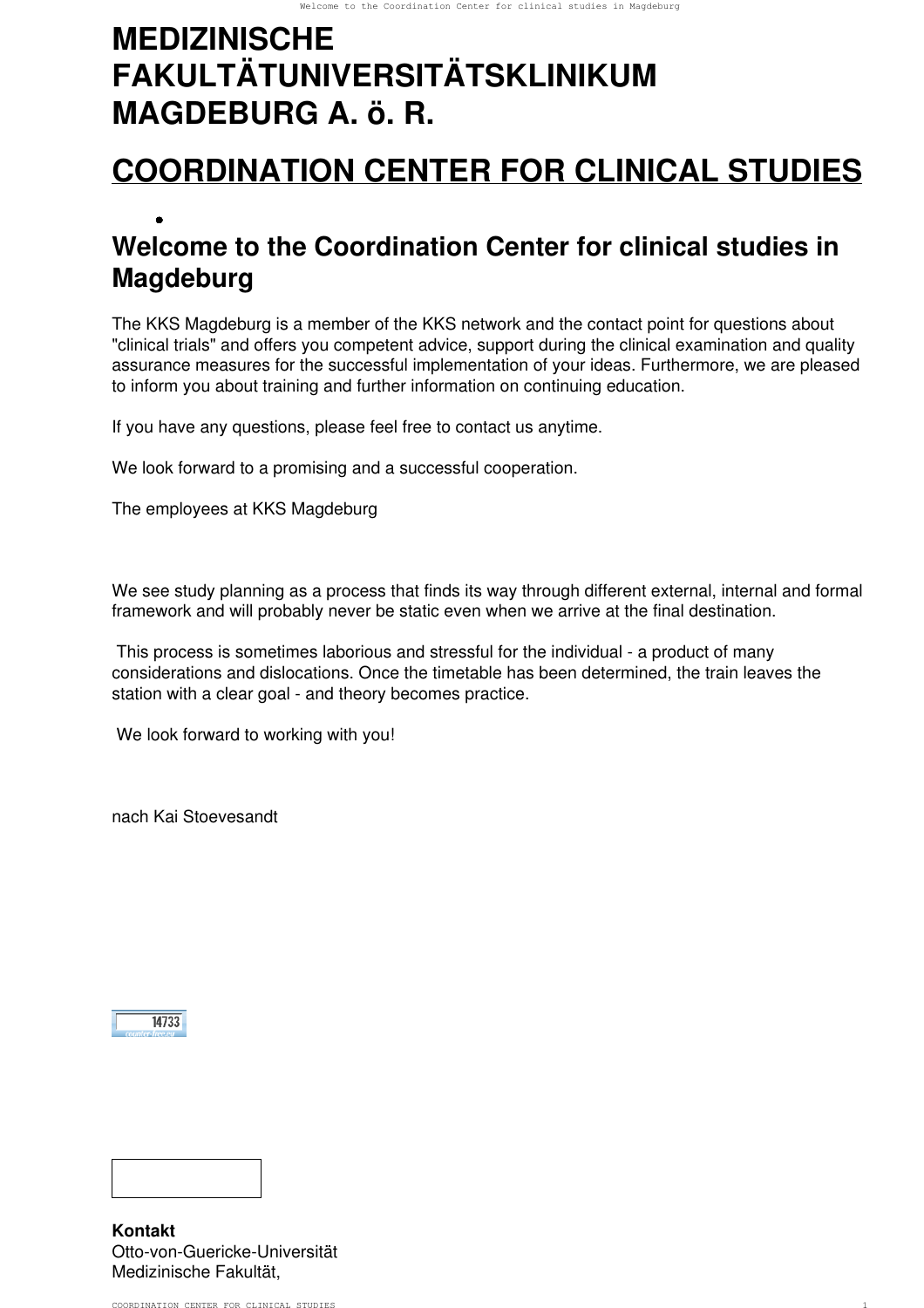# **MEDIZINISCHE FAKULTÄTUNIVERSITÄTSKLINIKUM MAGDEBURG A. ö. R.**

## **[COORDINATION CENTER FOR CLINICAL STUDIES](https://www.med.uni-magdeburg.de/kks/en/)**

## • **Welcome to the Coordination Center for clinical studies in Magdeburg**

The KKS Magdeburg is a member of the KKS network and the contact point for questions about "clinical trials" and offers you competent advice, support during the clinical examination and quality assurance measures for the successful implementation of your ideas. Furthermore, we are pleased to inform you about training and further information on continuing education.

If you have any questions, please feel free to contact us anytime.

We look forward to a promising and a successful cooperation.

The employees at KKS Magdeburg

We see study planning as a process that finds its way through different external, internal and formal framework and will probably never be static even when we arrive at the final destination.

 This process is sometimes laborious and stressful for the individual - a product of many considerations and dislocations. Once the timetable has been determined, the train leaves the station with a clear goal - and theory becomes practice.

We look forward to working with you!

nach Kai Stoevesandt

 $14733$ 



**Kontakt** Otto-von-Guericke-Universität Medizinische Fakultät,

COORDINATION CENTER FOR CLINICAL STUDIES 1